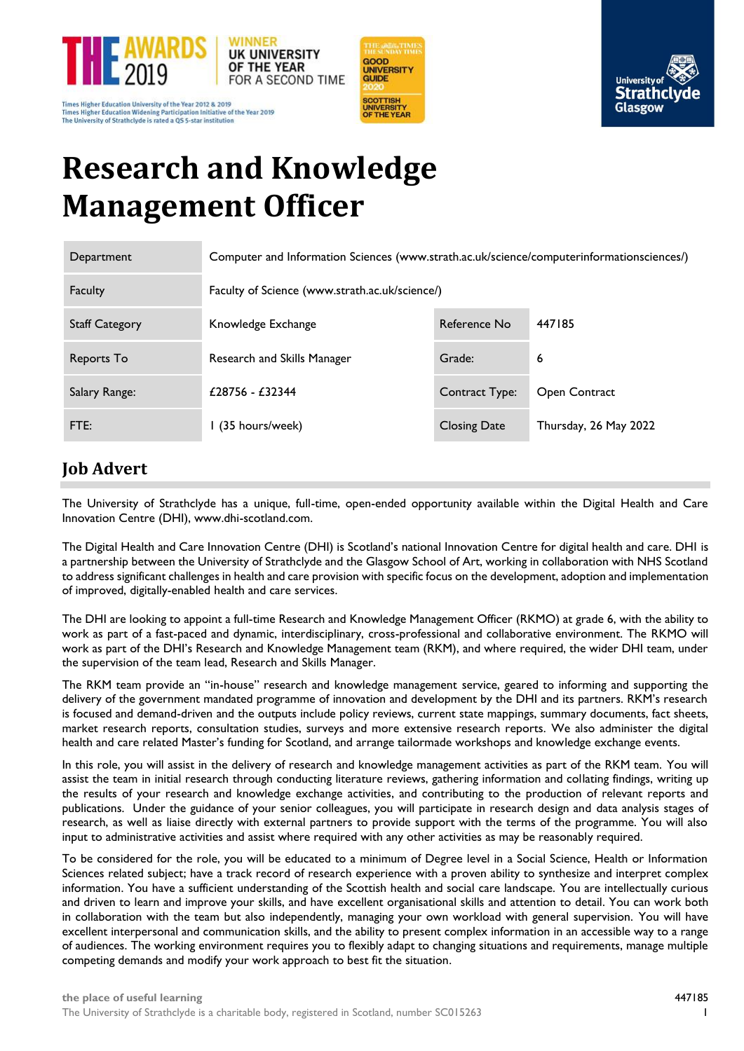

Times Higher Education University of the Year 2012 & 2019<br>Times Higher Education Widening Participation Initiative of the Year 2019 The University of Strathclyde is rated a QS 5-star institution





# **Research and Knowledge Management Officer**

| Department            | Computer and Information Sciences (www.strath.ac.uk/science/computerinformationsciences/) |                     |                       |  |
|-----------------------|-------------------------------------------------------------------------------------------|---------------------|-----------------------|--|
| Faculty               | Faculty of Science (www.strath.ac.uk/science/)                                            |                     |                       |  |
| <b>Staff Category</b> | Knowledge Exchange                                                                        | Reference No        | 447185                |  |
| Reports To            | Research and Skills Manager                                                               | Grade:              | 6                     |  |
| Salary Range:         | £28756 - £32344                                                                           | Contract Type:      | Open Contract         |  |
| FTE:                  | l (35 hours/week)                                                                         | <b>Closing Date</b> | Thursday, 26 May 2022 |  |

# **Job Advert**

The University of Strathclyde has a unique, full-time, open-ended opportunity available within the Digital Health and Care Innovation Centre (DHI), www.dhi-scotland.com.

The Digital Health and Care Innovation Centre (DHI) is Scotland's national Innovation Centre for digital health and care. DHI is a partnership between the University of Strathclyde and the Glasgow School of Art, working in collaboration with NHS Scotland to address significant challenges in health and care provision with specific focus on the development, adoption and implementation of improved, digitally-enabled health and care services.

The DHI are looking to appoint a full-time Research and Knowledge Management Officer (RKMO) at grade 6, with the ability to work as part of a fast-paced and dynamic, interdisciplinary, cross-professional and collaborative environment. The RKMO will work as part of the DHI's Research and Knowledge Management team (RKM), and where required, the wider DHI team, under the supervision of the team lead, Research and Skills Manager.

The RKM team provide an "in-house" research and knowledge management service, geared to informing and supporting the delivery of the government mandated programme of innovation and development by the DHI and its partners. RKM's research is focused and demand-driven and the outputs include policy reviews, current state mappings, summary documents, fact sheets, market research reports, consultation studies, surveys and more extensive research reports. We also administer the digital health and care related Master's funding for Scotland, and arrange tailormade workshops and knowledge exchange events.

In this role, you will assist in the delivery of research and knowledge management activities as part of the RKM team. You will assist the team in initial research through conducting literature reviews, gathering information and collating findings, writing up the results of your research and knowledge exchange activities, and contributing to the production of relevant reports and publications. Under the guidance of your senior colleagues, you will participate in research design and data analysis stages of research, as well as liaise directly with external partners to provide support with the terms of the programme. You will also input to administrative activities and assist where required with any other activities as may be reasonably required.

To be considered for the role, you will be educated to a minimum of Degree level in a Social Science, Health or Information Sciences related subject; have a track record of research experience with a proven ability to synthesize and interpret complex information. You have a sufficient understanding of the Scottish health and social care landscape. You are intellectually curious and driven to learn and improve your skills, and have excellent organisational skills and attention to detail. You can work both in collaboration with the team but also independently, managing your own workload with general supervision. You will have excellent interpersonal and communication skills, and the ability to present complex information in an accessible way to a range of audiences. The working environment requires you to flexibly adapt to changing situations and requirements, manage multiple competing demands and modify your work approach to best fit the situation.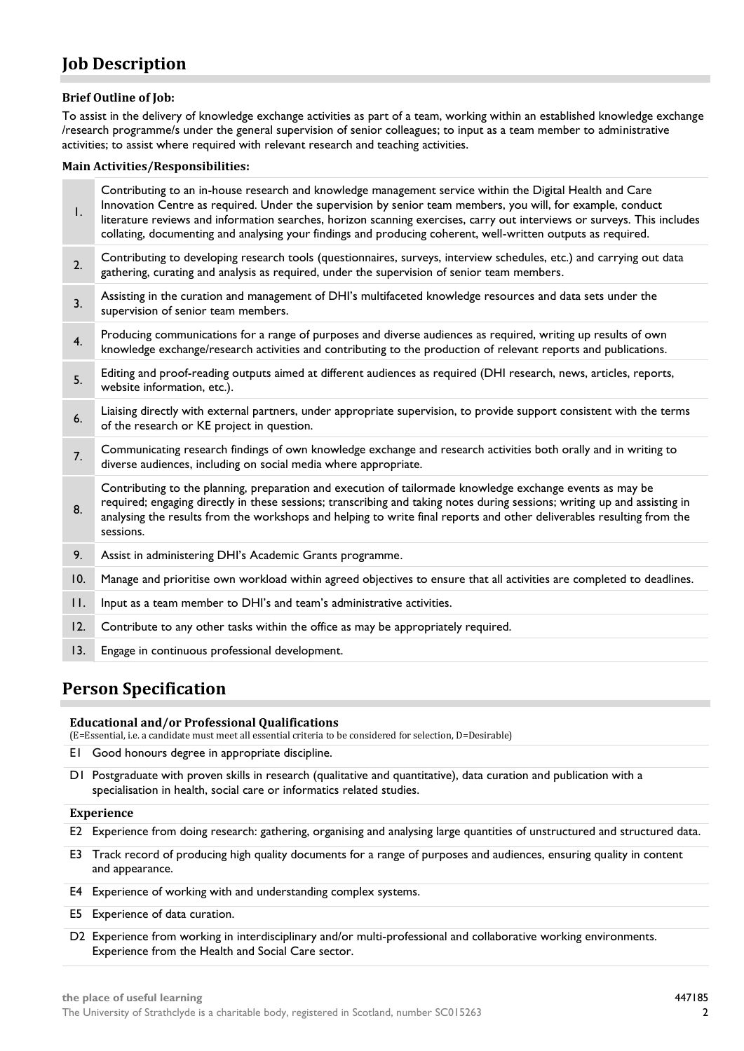# **Job Description**

# **Brief Outline of Job:**

To assist in the delivery of knowledge exchange activities as part of a team, working within an established knowledge exchange /research programme/s under the general supervision of senior colleagues; to input as a team member to administrative activities; to assist where required with relevant research and teaching activities.

## **Main Activities/Responsibilities:**

| Ι.      | Contributing to an in-house research and knowledge management service within the Digital Health and Care<br>Innovation Centre as required. Under the supervision by senior team members, you will, for example, conduct<br>literature reviews and information searches, horizon scanning exercises, carry out interviews or surveys. This includes                           |
|---------|------------------------------------------------------------------------------------------------------------------------------------------------------------------------------------------------------------------------------------------------------------------------------------------------------------------------------------------------------------------------------|
|         | collating, documenting and analysing your findings and producing coherent, well-written outputs as required.                                                                                                                                                                                                                                                                 |
| 2.      | Contributing to developing research tools (questionnaires, surveys, interview schedules, etc.) and carrying out data<br>gathering, curating and analysis as required, under the supervision of senior team members.                                                                                                                                                          |
| 3.      | Assisting in the curation and management of DHI's multifaceted knowledge resources and data sets under the<br>supervision of senior team members.                                                                                                                                                                                                                            |
| 4.      | Producing communications for a range of purposes and diverse audiences as required, writing up results of own<br>knowledge exchange/research activities and contributing to the production of relevant reports and publications.                                                                                                                                             |
| 5.      | Editing and proof-reading outputs aimed at different audiences as required (DHI research, news, articles, reports,<br>website information, etc.).                                                                                                                                                                                                                            |
| 6.      | Liaising directly with external partners, under appropriate supervision, to provide support consistent with the terms<br>of the research or KE project in question.                                                                                                                                                                                                          |
| 7.      | Communicating research findings of own knowledge exchange and research activities both orally and in writing to<br>diverse audiences, including on social media where appropriate.                                                                                                                                                                                           |
| 8.      | Contributing to the planning, preparation and execution of tailormade knowledge exchange events as may be<br>required; engaging directly in these sessions; transcribing and taking notes during sessions; writing up and assisting in<br>analysing the results from the workshops and helping to write final reports and other deliverables resulting from the<br>sessions. |
| 9.      | Assist in administering DHI's Academic Grants programme.                                                                                                                                                                                                                                                                                                                     |
| 10.     | Manage and prioritise own workload within agreed objectives to ensure that all activities are completed to deadlines.                                                                                                                                                                                                                                                        |
| $\Pi$ . | Input as a team member to DHI's and team's administrative activities.                                                                                                                                                                                                                                                                                                        |
| 12.     | Contribute to any other tasks within the office as may be appropriately required.                                                                                                                                                                                                                                                                                            |
| 13.     | Engage in continuous professional development.                                                                                                                                                                                                                                                                                                                               |

# **Person Specification**

#### **Educational and/or Professional Qualifications**

(E=Essential, i.e. a candidate must meet all essential criteria to be considered for selection, D=Desirable)

- E1 Good honours degree in appropriate discipline.
- D1 Postgraduate with proven skills in research (qualitative and quantitative), data curation and publication with a specialisation in health, social care or informatics related studies.

# **Experience**

- E2 Experience from doing research: gathering, organising and analysing large quantities of unstructured and structured data.
- E3 Track record of producing high quality documents for a range of purposes and audiences, ensuring quality in content and appearance.
- E4 Experience of working with and understanding complex systems.
- E5 Experience of data curation.
- D2 Experience from working in interdisciplinary and/or multi-professional and collaborative working environments. Experience from the Health and Social Care sector.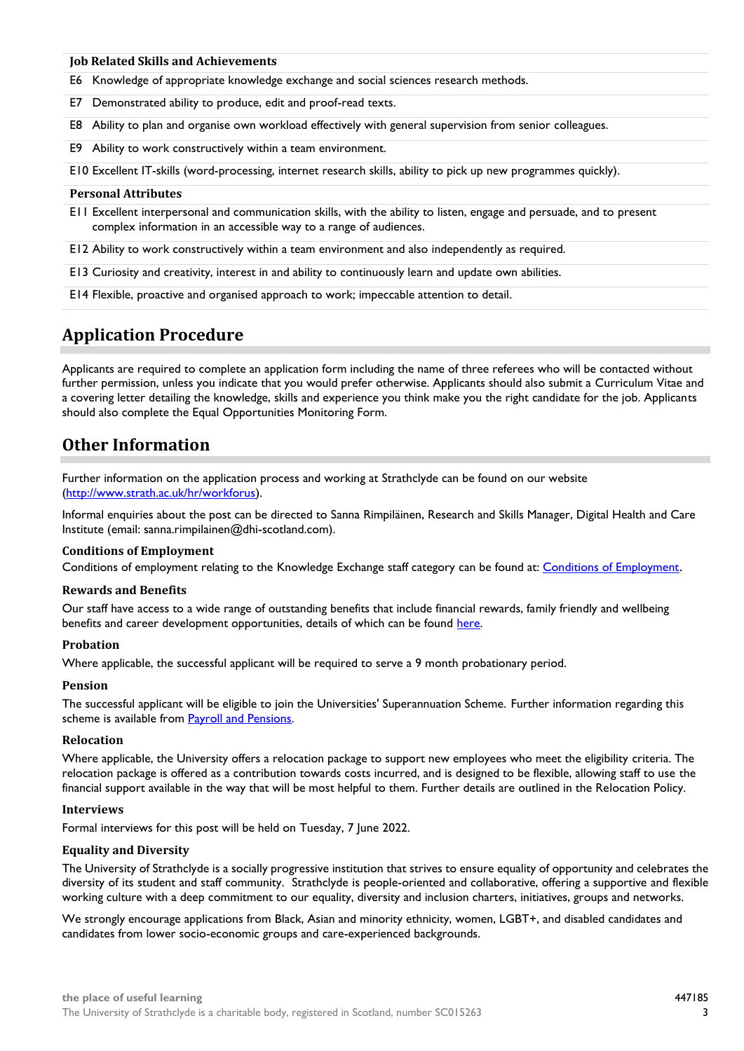#### **Job Related Skills and Achievements**

- E6 Knowledge of appropriate knowledge exchange and social sciences research methods.
- E7 Demonstrated ability to produce, edit and proof-read texts.
- E8 Ability to plan and organise own workload effectively with general supervision from senior colleagues.
- E9 Ability to work constructively within a team environment.

E10 Excellent IT-skills (word-processing, internet research skills, ability to pick up new programmes quickly).

#### **Personal Attributes**

E11 Excellent interpersonal and communication skills, with the ability to listen, engage and persuade, and to present complex information in an accessible way to a range of audiences.

E12 Ability to work constructively within a team environment and also independently as required.

E13 Curiosity and creativity, interest in and ability to continuously learn and update own abilities.

E14 Flexible, proactive and organised approach to work; impeccable attention to detail.

# **Application Procedure**

Applicants are required to complete an application form including the name of three referees who will be contacted without further permission, unless you indicate that you would prefer otherwise. Applicants should also submit a Curriculum Vitae and a covering letter detailing the knowledge, skills and experience you think make you the right candidate for the job. Applicants should also complete the Equal Opportunities Monitoring Form.

# **Other Information**

Further information on the application process and working at Strathclyde can be found on our website [\(http://www.strath.ac.uk/hr/workforus\)](http://www.strath.ac.uk/hr/workforus).

Informal enquiries about the post can be directed to Sanna Rimpiläinen, Research and Skills Manager, Digital Health and Care Institute (email: sanna.rimpilainen@dhi-scotland.com).

#### **Conditions of Employment**

Conditions of employment relating to the Knowledge Exchange staff category can be found at: [Conditions of Employment](http://www.strath.ac.uk/hr/careerpathways/informationtermsconditions/).

#### **Rewards and Benefits**

Our staff have access to a wide range of outstanding benefits that include financial rewards, family friendly and wellbeing benefits and career development opportunities, details of which can be found [here.](https://www.strath.ac.uk/workwithus/vacancies/rewardsbenefits/)

#### **Probation**

Where applicable, the successful applicant will be required to serve a 9 month probationary period.

#### **Pension**

The successful applicant will be eligible to join the Universities' Superannuation Scheme. Further information regarding this scheme is available from [Payroll and Pensions.](http://www.strath.ac.uk/finance/financialservices/pensions/)

#### **Relocation**

Where applicable, the University offers a relocation package to support new employees who meet the eligibility criteria. The relocation package is offered as a contribution towards costs incurred, and is designed to be flexible, allowing staff to use the financial support available in the way that will be most helpful to them. Further details are outlined in the Relocation Policy.

#### **Interviews**

Formal interviews for this post will be held on Tuesday, 7 June 2022.

#### **Equality and Diversity**

The University of Strathclyde is a socially progressive institution that strives to ensure equality of opportunity and celebrates the diversity of its student and staff community. Strathclyde is people-oriented and collaborative, offering a supportive and flexible working culture with a deep commitment to our equality, diversity and inclusion charters, initiatives, groups and networks.

We strongly encourage applications from Black, Asian and minority ethnicity, women, LGBT+, and disabled candidates and candidates from lower socio-economic groups and care-experienced backgrounds.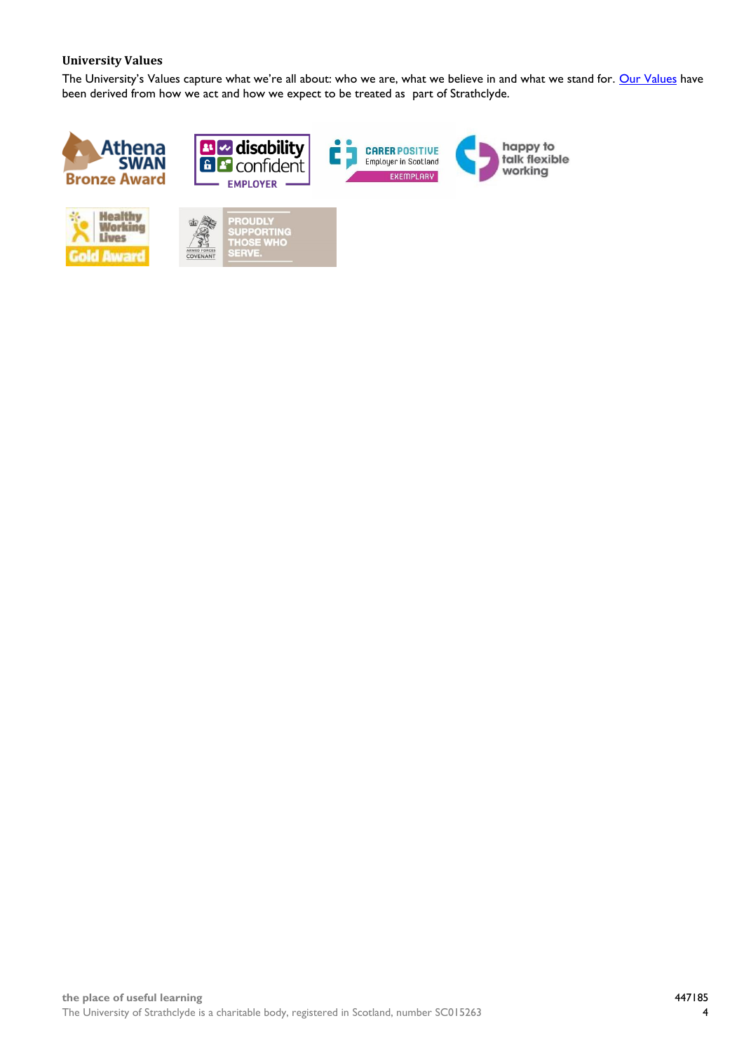# **University Values**

The University's Values capture what we're all about: who we are, what we believe in and what we stand for. [Our Values](https://www.strath.ac.uk/whystrathclyde/values/) have been derived from how we act and how we expect to be treated as part of Strathclyde.

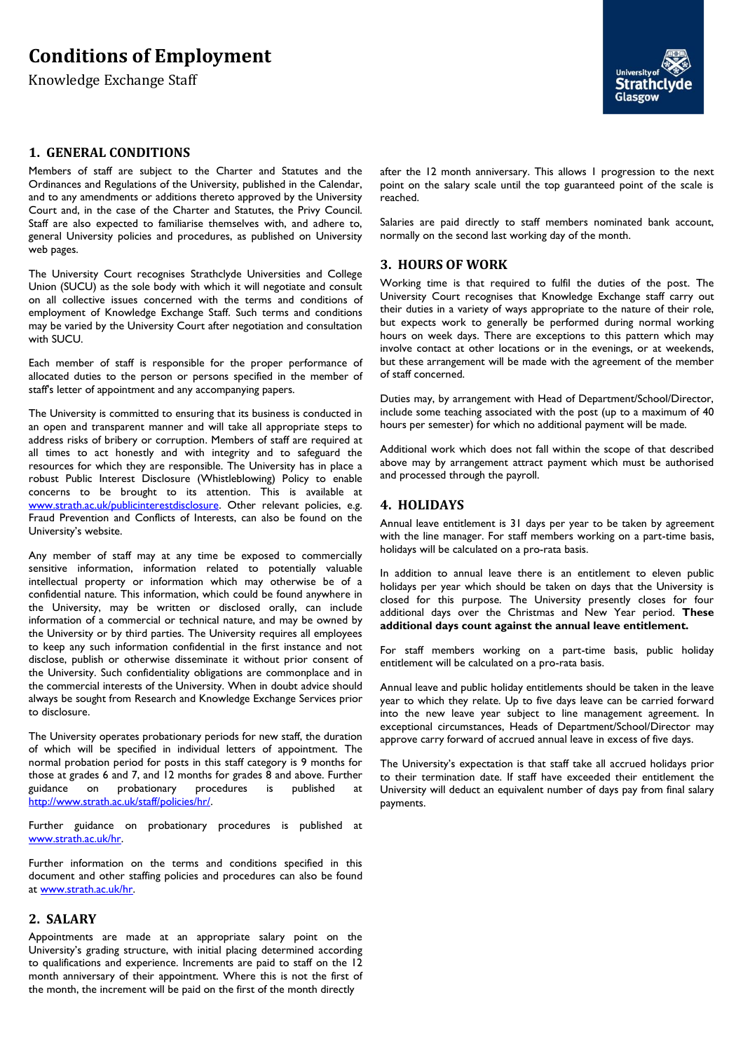# **Conditions of Employment**

Knowledge Exchange Staff

### **1. GENERAL CONDITIONS**

Members of staff are subject to the Charter and Statutes and the Ordinances and Regulations of the University, published in the Calendar, and to any amendments or additions thereto approved by the University Court and, in the case of the Charter and Statutes, the Privy Council. Staff are also expected to familiarise themselves with, and adhere to, general University policies and procedures, as published on University web pages.

The University Court recognises Strathclyde Universities and College Union (SUCU) as the sole body with which it will negotiate and consult on all collective issues concerned with the terms and conditions of employment of Knowledge Exchange Staff. Such terms and conditions may be varied by the University Court after negotiation and consultation with SUCU.

Each member of staff is responsible for the proper performance of allocated duties to the person or persons specified in the member of staff's letter of appointment and any accompanying papers.

The University is committed to ensuring that its business is conducted in an open and transparent manner and will take all appropriate steps to address risks of bribery or corruption. Members of staff are required at all times to act honestly and with integrity and to safeguard the resources for which they are responsible. The University has in place a robust Public Interest Disclosure (Whistleblowing) Policy to enable concerns to be brought to its attention. This is available at [www.strath.ac.uk/publicinterestdisclosure.](http://www.strath.ac.uk/publicinterestdisclosure) Other relevant policies, e.g. Fraud Prevention and Conflicts of Interests, can also be found on the University's website.

Any member of staff may at any time be exposed to commercially sensitive information, information related to potentially valuable intellectual property or information which may otherwise be of a confidential nature. This information, which could be found anywhere in the University, may be written or disclosed orally, can include information of a commercial or technical nature, and may be owned by the University or by third parties. The University requires all employees to keep any such information confidential in the first instance and not disclose, publish or otherwise disseminate it without prior consent of the University. Such confidentiality obligations are commonplace and in the commercial interests of the University. When in doubt advice should always be sought from Research and Knowledge Exchange Services prior to disclosure.

The University operates probationary periods for new staff, the duration of which will be specified in individual letters of appointment. The normal probation period for posts in this staff category is 9 months for those at grades 6 and 7, and 12 months for grades 8 and above. Further guidance on probationary procedures is published at [http://www.strath.ac.uk/staff/policies/hr/.](http://www.strath.ac.uk/staff/policies/hr/)

Further guidance on probationary procedures is published at [www.strath.ac.uk/hr.](http://www.strath.ac.uk/hr)

Further information on the terms and conditions specified in this document and other staffing policies and procedures can also be found at [www.strath.ac.uk/hr.](http://www.strath.ac.uk/hr)

## **2. SALARY**

Appointments are made at an appropriate salary point on the University's grading structure, with initial placing determined according to qualifications and experience. Increments are paid to staff on the 12 month anniversary of their appointment. Where this is not the first of the month, the increment will be paid on the first of the month directly

after the 12 month anniversary. This allows 1 progression to the next point on the salary scale until the top guaranteed point of the scale is reached.

Salaries are paid directly to staff members nominated bank account, normally on the second last working day of the month.

## **3. HOURS OF WORK**

Working time is that required to fulfil the duties of the post. The University Court recognises that Knowledge Exchange staff carry out their duties in a variety of ways appropriate to the nature of their role, but expects work to generally be performed during normal working hours on week days. There are exceptions to this pattern which may involve contact at other locations or in the evenings, or at weekends, but these arrangement will be made with the agreement of the member of staff concerned.

Duties may, by arrangement with Head of Department/School/Director, include some teaching associated with the post (up to a maximum of 40 hours per semester) for which no additional payment will be made.

Additional work which does not fall within the scope of that described above may by arrangement attract payment which must be authorised and processed through the payroll.

#### **4. HOLIDAYS**

Annual leave entitlement is 31 days per year to be taken by agreement with the line manager. For staff members working on a part-time basis, holidays will be calculated on a pro-rata basis.

In addition to annual leave there is an entitlement to eleven public holidays per year which should be taken on days that the University is closed for this purpose. The University presently closes for four additional days over the Christmas and New Year period. **These additional days count against the annual leave entitlement.**

For staff members working on a part-time basis, public holiday entitlement will be calculated on a pro-rata basis.

Annual leave and public holiday entitlements should be taken in the leave year to which they relate. Up to five days leave can be carried forward into the new leave year subject to line management agreement. In exceptional circumstances, Heads of Department/School/Director may approve carry forward of accrued annual leave in excess of five days.

The University's expectation is that staff take all accrued holidays prior to their termination date. If staff have exceeded their entitlement the University will deduct an equivalent number of days pay from final salary payments.